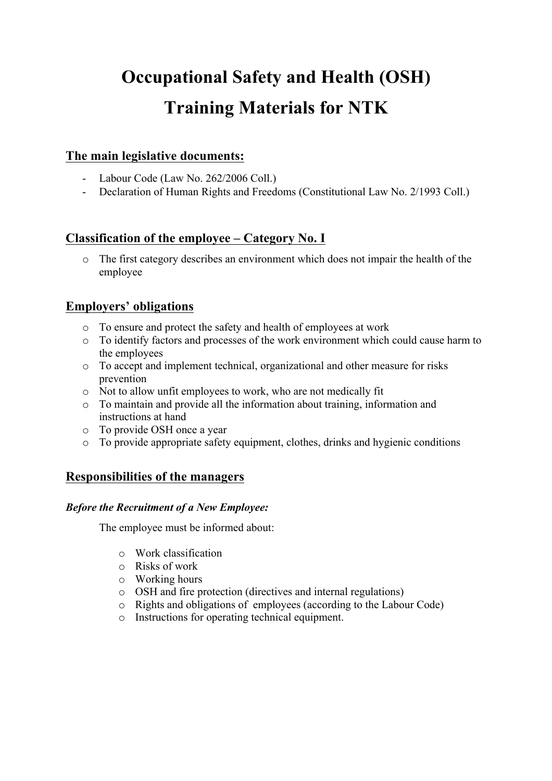# **Occupational Safety and Health (OSH) Training Materials for NTK**

# **The main legislative documents:**

- Labour Code (Law No. 262/2006 Coll.)
- Declaration of Human Rights and Freedoms (Constitutional Law No. 2/1993 Coll.)

# **Classification of the employee – Category No. I**

o The first category describes an environment which does not impair the health of the employee

# **Employers' obligations**

- o To ensure and protect the safety and health of employees at work
- o To identify factors and processes of the work environment which could cause harm to the employees
- o To accept and implement technical, organizational and other measure for risks prevention
- o Not to allow unfit employees to work, who are not medically fit
- o To maintain and provide all the information about training, information and instructions at hand
- o To provide OSH once a year
- o To provide appropriate safety equipment, clothes, drinks and hygienic conditions

## **Responsibilities of the managers**

## *Before the Recruitment of a New Employee:*

The employee must be informed about:

- o Work classification
- o Risks of work
- o Working hours
- o OSH and fire protection (directives and internal regulations)
- o Rights and obligations of employees (according to the Labour Code)
- o Instructions for operating technical equipment.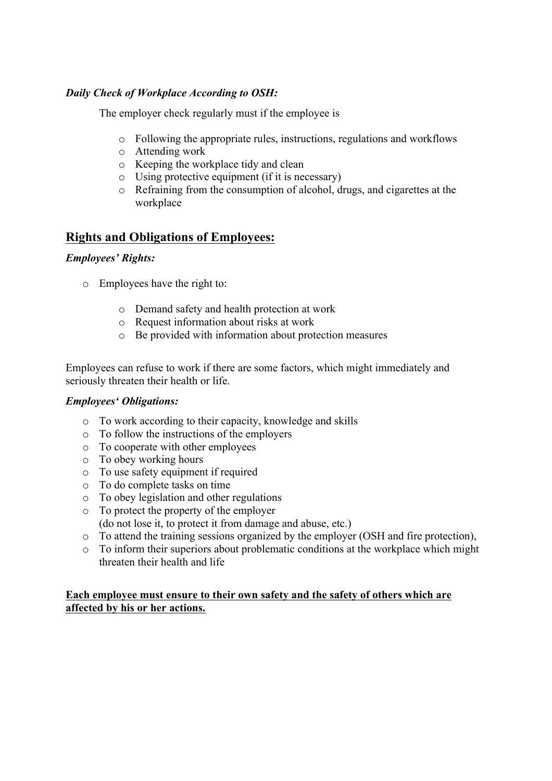## *Daily Check of Workplace According to OSH:*

The employer check regularly must if the employee is

- o Following the appropriate rules, instructions, regulations and workflows
- o Attending work
- o Keeping the workplace tidy and clean
- o Using protective equipment (if it is necessary)
- o Refraining from the consumption of alcohol, drugs, and cigarettes at the workplace

## **Rights and Obligations of Employees:**

## *Employees' Rights:*

- o Employees have the right to:
	- o Demand safety and health protection at work
	- o Request information about risks at work
	- o Be provided with information about protection measures

Employees can refuse to work if there are some factors, which might immediately and seriously threaten their health or life.

## *Employees' Obligations:*

- o To work according to their capacity, knowledge and skills
- o To follow the instructions of the employers
- o To cooperate with other employees
- o To obey working hours
- o To use safety equipment if required
- o To do complete tasks on time
- o To obey legislation and other regulations
- o To protect the property of the employer (do not lose it, to protect it from damage and abuse, etc.)
- o To attend the training sessions organized by the employer (OSH and fire protection),
- o To inform their superiors about problematic conditions at the workplace which might threaten their health and life

### **Each employee must ensure to their own safety and the safety of others which are affected by his or her actions.**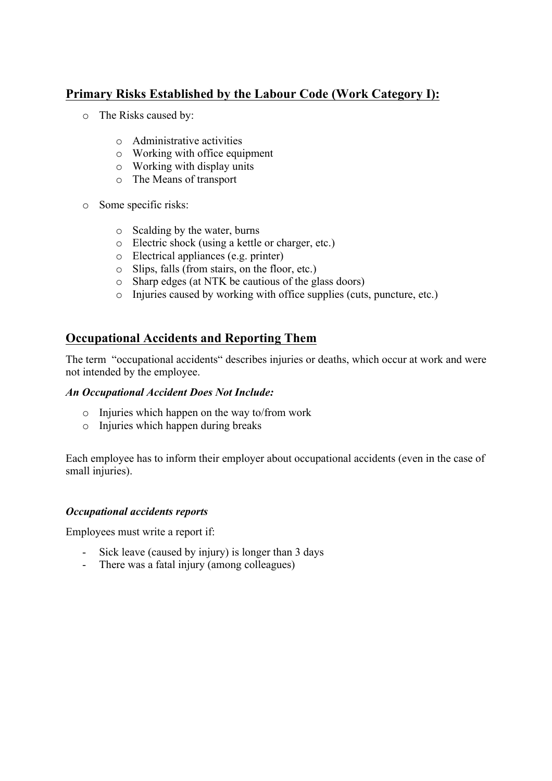# **Primary Risks Established by the Labour Code (Work Category I):**

- o The Risks caused by:
	- o Administrative activities
	- o Working with office equipment
	- o Working with display units
	- o The Means of transport
- o Some specific risks:
	- o Scalding by the water, burns
	- o Electric shock (using a kettle or charger, etc.)
	- o Electrical appliances (e.g. printer)
	- o Slips, falls (from stairs, on the floor, etc.)
	- o Sharp edges (at NTK be cautious of the glass doors)
	- o Injuries caused by working with office supplies (cuts, puncture, etc.)

# **Occupational Accidents and Reporting Them**

The term "occupational accidents" describes injuries or deaths, which occur at work and were not intended by the employee.

#### *An Occupational Accident Does Not Include:*

- o Injuries which happen on the way to/from work
- o Injuries which happen during breaks

Each employee has to inform their employer about occupational accidents (even in the case of small injuries).

#### *Occupational accidents reports*

Employees must write a report if:

- Sick leave (caused by injury) is longer than 3 days
- There was a fatal injury (among colleagues)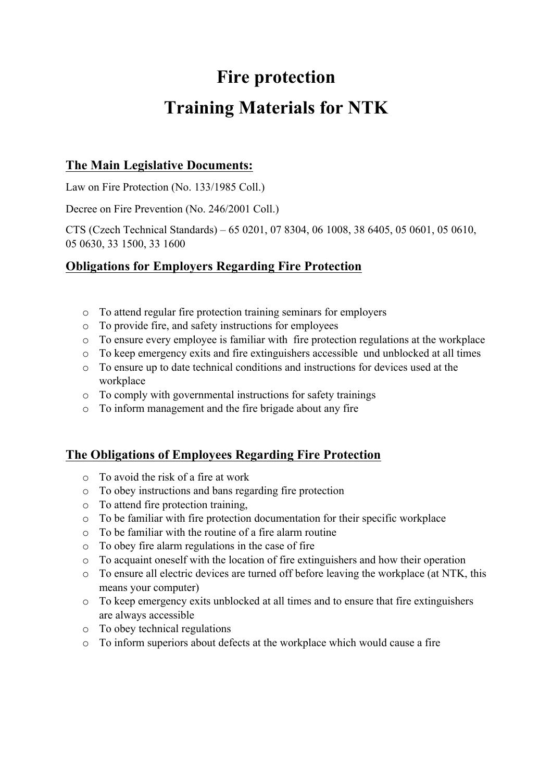# **Fire protection Training Materials for NTK**

# **The Main Legislative Documents:**

Law on Fire Protection (No. 133/1985 Coll.)

Decree on Fire Prevention (No. 246/2001 Coll.)

CTS (Czech Technical Standards) – 65 0201, 07 8304, 06 1008, 38 6405, 05 0601, 05 0610, 05 0630, 33 1500, 33 1600

# **Obligations for Employers Regarding Fire Protection**

- o To attend regular fire protection training seminars for employers
- o To provide fire, and safety instructions for employees
- o To ensure every employee is familiar with fire protection regulations at the workplace
- o To keep emergency exits and fire extinguishers accessible und unblocked at all times
- o To ensure up to date technical conditions and instructions for devices used at the workplace
- o To comply with governmental instructions for safety trainings
- o To inform management and the fire brigade about any fire

# **The Obligations of Employees Regarding Fire Protection**

- o To avoid the risk of a fire at work
- o To obey instructions and bans regarding fire protection
- o To attend fire protection training,
- o To be familiar with fire protection documentation for their specific workplace
- o To be familiar with the routine of a fire alarm routine
- o To obey fire alarm regulations in the case of fire
- o To acquaint oneself with the location of fire extinguishers and how their operation
- o To ensure all electric devices are turned off before leaving the workplace (at NTK, this means your computer)
- o To keep emergency exits unblocked at all times and to ensure that fire extinguishers are always accessible
- o To obey technical regulations
- o To inform superiors about defects at the workplace which would cause a fire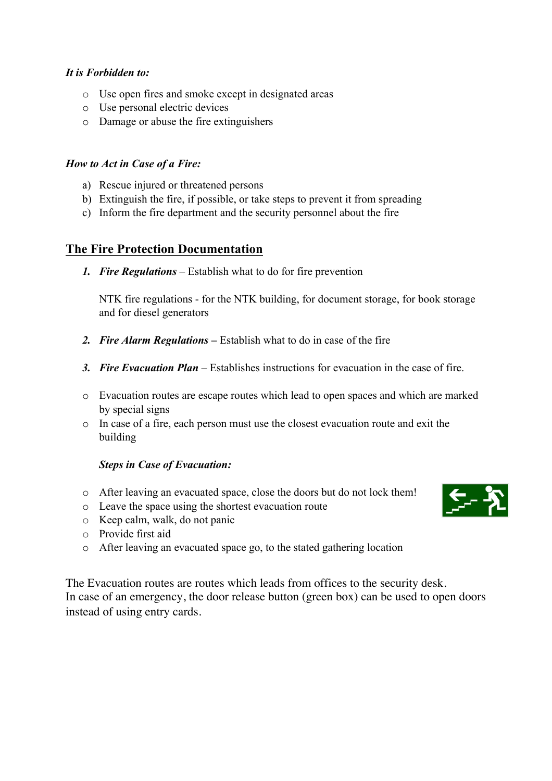## *It is Forbidden to:*

- o Use open fires and smoke except in designated areas
- o Use personal electric devices
- o Damage or abuse the fire extinguishers

### *How to Act in Case of a Fire:*

- a) Rescue injured or threatened persons
- b) Extinguish the fire, if possible, or take steps to prevent it from spreading
- c) Inform the fire department and the security personnel about the fire

## **The Fire Protection Documentation**

*1. Fire Regulations* – Establish what to do for fire prevention

NTK fire regulations - for the NTK building, for document storage, for book storage and for diesel generators

- *2. Fire Alarm Regulations –* Establish what to do in case of the fire
- *3. Fire Evacuation Plan*  Establishes instructions for evacuation in the case of fire.
- o Evacuation routes are escape routes which lead to open spaces and which are marked by special signs
- o In case of a fire, each person must use the closest evacuation route and exit the building

## *Steps in Case of Evacuation:*

- o After leaving an evacuated space, close the doors but do not lock them!
- o Leave the space using the shortest evacuation route
- o Keep calm, walk, do not panic
- o Provide first aid
- o After leaving an evacuated space go, to the stated gathering location

The Evacuation routes are routes which leads from offices to the security desk. In case of an emergency, the door release button (green box) can be used to open doors instead of using entry cards.